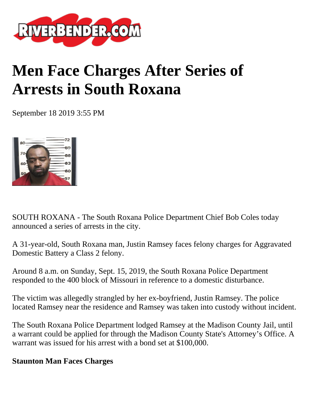

## **Men Face Charges After Series of Arrests in South Roxana**

September 18 2019 3:55 PM



SOUTH ROXANA - The South Roxana Police Department Chief Bob Coles today announced a series of arrests in the city.

A 31-year-old, South Roxana man, Justin Ramsey faces felony charges for Aggravated Domestic Battery a Class 2 felony.

Around 8 a.m. on Sunday, Sept. 15, 2019, the South Roxana Police Department responded to the 400 block of Missouri in reference to a domestic disturbance.

The victim was allegedly strangled by her ex-boyfriend, Justin Ramsey. The police located Ramsey near the residence and Ramsey was taken into custody without incident.

The South Roxana Police Department lodged Ramsey at the Madison County Jail, until a warrant could be applied for through the Madison County State's Attorney's Office. A warrant was issued for his arrest with a bond set at \$100,000.

## **Staunton Man Faces Charges**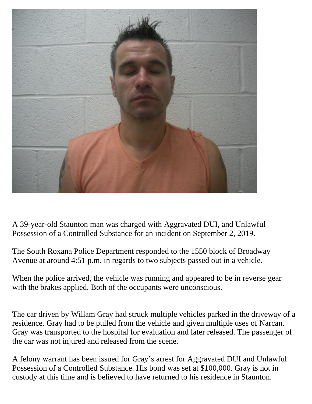

A 39-year-old Staunton man was charged with Aggravated DUI, and Unlawful Possession of a Controlled Substance for an incident on September 2, 2019.

The South Roxana Police Department responded to the 1550 block of Broadway Avenue at around 4:51 p.m. in regards to two subjects passed out in a vehicle.

When the police arrived, the vehicle was running and appeared to be in reverse gear with the brakes applied. Both of the occupants were unconscious.

The car driven by Willam Gray had struck multiple vehicles parked in the driveway of a residence. Gray had to be pulled from the vehicle and given multiple uses of Narcan. Gray was transported to the hospital for evaluation and later released. The passenger of the car was not injured and released from the scene.

A felony warrant has been issued for Gray's arrest for Aggravated DUI and Unlawful Possession of a Controlled Substance. His bond was set at \$100,000. Gray is not in custody at this time and is believed to have returned to his residence in Staunton.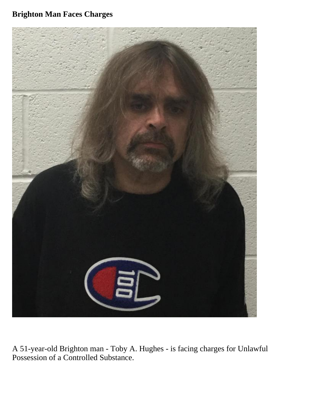## **Brighton Man Faces Charges**



A 51-year-old Brighton man - Toby A. Hughes - is facing charges for Unlawful Possession of a Controlled Substance.